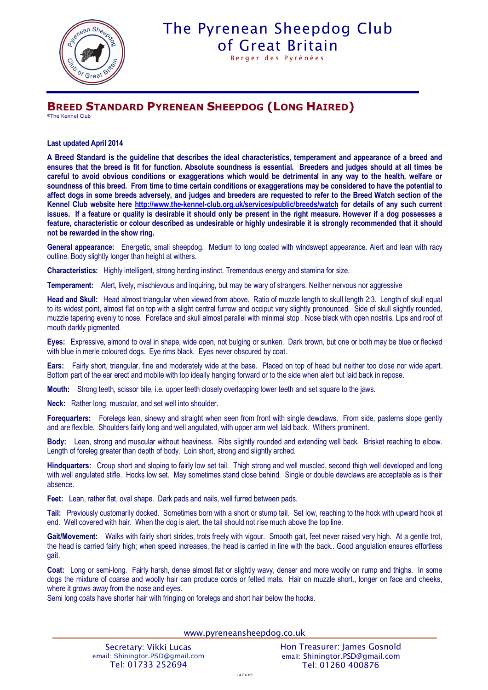

## The Pyrenean Sheepdog Club of Great Britain

Berger des Pyrénées

## **BREED STANDARD PYRENEAN SHEEPDOG (LONG HAIRED)**

**©**The Kennel Club

**Last updated April 2014**

**A Breed Standard is the guideline that describes the ideal characteristics, temperament and appearance of a breed and ensures that the breed is fit for function. Absolute soundness is essential. Breeders and judges should at all times be careful to avoid obvious conditions or exaggerations which would be detrimental in any way to the health, welfare or soundness of this breed. From time to time certain conditions or exaggerations may be considered to have the potential to affect dogs in some breeds adversely, and judges and breeders are requested to refer to the Breed Watch section of the Kennel Club website here http://www.the-kennel-club.org.uk/services/public/breeds/watch for details of any such current issues. If a feature or quality is desirable it should only be present in the right measure. However if a dog possesses a feature, characteristic or colour described as undesirable or highly undesirable it is strongly recommended that it should not be rewarded in the show ring.**

**General appearance:** Energetic, small sheepdog. Medium to long coated with windswept appearance. Alert and lean with racy outline. Body slightly longer than height at withers.

**Characteristics:** Highly intelligent, strong herding instinct. Tremendous energy and stamina for size.

**Temperament:** Alert, lively, mischievous and inquiring, but may be wary of strangers. Neither nervous nor aggressive

**Head and Skull:** Head almost triangular when viewed from above. Ratio of muzzle length to skull length 2:3. Length of skull equal to its widest point, almost flat on top with a slight central furrow and occiput very slightly pronounced. Side of skull slightly rounded, muzzle tapering evenly to nose. Foreface and skull almost parallel with minimal stop . Nose black with open nostrils. Lips and roof of mouth darkly pigmented.

**Eyes:** Expressive, almond to oval in shape, wide open, not bulging or sunken. Dark brown, but one or both may be blue or flecked with blue in merle coloured dogs. Eye rims black. Eyes never obscured by coat.

**Ears:** Fairly short, triangular, fine and moderately wide at the base. Placed on top of head but neither too close nor wide apart. Bottom part of the ear erect and mobile with top ideally hanging forward or to the side when alert but laid back in repose.

**Mouth:** Strong teeth, scissor bite, i.e. upper teeth closely overlapping lower teeth and set square to the jaws.

**Neck:** Rather long, muscular, and set well into shoulder.

**Forequarters:** Forelegs lean, sinewy and straight when seen from front with single dewclaws. From side, pasterns slope gently and are flexible. Shoulders fairly long and well angulated, with upper arm well laid back. Withers prominent.

**Body:** Lean, strong and muscular without heaviness. Ribs slightly rounded and extending well back. Brisket reaching to elbow. Length of foreleg greater than depth of body. Loin short, strong and slightly arched.

**Hindquarters:** Croup short and sloping to fairly low set tail. Thigh strong and well muscled, second thigh well developed and long with well angulated stifle. Hocks low set. May sometimes stand close behind. Single or double dewclaws are acceptable as is their absence.

**Feet:** Lean, rather flat, oval shape. Dark pads and nails, well furred between pads.

**Tail:** Previously customarily docked. Sometimes born with a short or stump tail. Set low, reaching to the hock with upward hook at end. Well covered with hair. When the dog is alert, the tail should not rise much above the top line.

Gait/Movement: Walks with fairly short strides, trots freely with vigour. Smooth gait, feet never raised very high. At a gentle trot, the head is carried fairly high; when speed increases, the head is carried in line with the back.. Good angulation ensures effortless gait.

**Coat:** Long or semi-long. Fairly harsh, dense almost flat or slightly wavy, denser and more woolly on rump and thighs. In some dogs the mixture of coarse and woolly hair can produce cords or felted mats. Hair on muzzle short., longer on face and cheeks, where it grows away from the nose and eyes.

Semi long coats have shorter hair with fringing on forelegs and short hair below the hocks.

www.pyreneansheepdog.co.uk